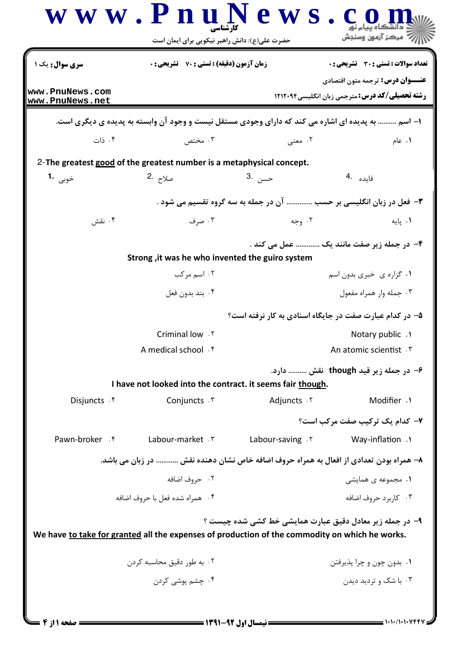|                                                                                                | حضرت علی(ع): دانش راهبر نیکویی برای ایمان است                                                    |                   | رَ ۖ مرڪز آزمون وسنڊش                                                                             |
|------------------------------------------------------------------------------------------------|--------------------------------------------------------------------------------------------------|-------------------|---------------------------------------------------------------------------------------------------|
| <b>سری سوال :</b> یک ۱                                                                         | <b>زمان آزمون (دقیقه) : تستی : 70 گشریحی : 0</b><br><b>تعداد سوالات : تستی : 30 ٪ تشریحی : 0</b> |                   |                                                                                                   |
| www.PnuNews.com                                                                                |                                                                                                  |                   | <b>عنـــوان درس:</b> ترجمه متون اقتصادي                                                           |
| www.PnuNews.net                                                                                |                                                                                                  |                   | <b>رشته تحصیلی/کد درس:</b> مترجمی زبان انگلیسی1۲۱۲۰۹۴                                             |
|                                                                                                |                                                                                                  |                   | ۱– اسم  به پدیده ای اشاره می کند که دارای وجودی مستقل نیست و وجود آن وابسته به پدیده ی دیگری است. |
| ۰۴ ذات                                                                                         | ۰۳ مختص                                                                                          | ۰۲ معنی           | ۰۱ عام                                                                                            |
| 2-The greatest good of the greatest number is a metaphysical concept.                          |                                                                                                  |                   |                                                                                                   |
| خوبی 1.                                                                                        | صلاح 2.                                                                                          | حسن .3            | فايده .4                                                                                          |
|                                                                                                |                                                                                                  |                   | ٣- فعل در زبان انگلیسی بر حسب  آن در جمله به سه گروه تقسیم می شود .                               |
| ۰۴ نقش                                                                                         | ۰۳ صرف                                                                                           | ۰۲ وجه            | ۰۱ یایه                                                                                           |
|                                                                                                |                                                                                                  |                   | ۴- در جمله زیر صفت مانند یک  عمل می کند .                                                         |
|                                                                                                | Strong, it was he who invented the guiro system                                                  |                   |                                                                                                   |
|                                                                                                | ۰۲ اسم مرکب                                                                                      |                   | ٠١ گزاره ي خبري بدون اسم                                                                          |
|                                                                                                | ۰۴ بند بدون فعل                                                                                  |                   | ۰۳ جمله وار همراه مفعول                                                                           |
|                                                                                                |                                                                                                  |                   | ۵– در کدام عبارت صفت در جایگاه اسنادی به کار نرفته است؟                                           |
|                                                                                                | <b>Criminal low</b> . ٢                                                                          |                   | Notary public .                                                                                   |
|                                                                                                | A medical school $\cdot$ $\uparrow$                                                              |                   | An atomic scientist. \v                                                                           |
|                                                                                                |                                                                                                  |                   | ۶- در جمله زیر قید though  نقش  دارد.                                                             |
|                                                                                                | I have not looked into the contract. it seems fair though.                                       |                   |                                                                                                   |
| Disjuncts . f                                                                                  | Conjuncts . ٣                                                                                    | Adjuncts . Y      | Modifier .1                                                                                       |
|                                                                                                |                                                                                                  |                   | ۷- کدام یک ترکیب صفت مرکب است؟                                                                    |
| Pawn-broker . f                                                                                | Labour-market . ٣                                                                                | Labour-saving . Y | Way-inflation .                                                                                   |
|                                                                                                |                                                                                                  |                   | ۸– همراه بودن تعدادی از افعال به همراه حروف اضافه خاص نشان دهنده نقش  در زبان می باشد.            |
|                                                                                                | ۰۲ حروف اضافه                                                                                    |                   | ۰۱ مجموعه ی همایشی                                                                                |
|                                                                                                | ۰۴ همراه شده فعل با حروف اضافه                                                                   |                   | ۰۳ کاربرد حروف اضافه                                                                              |
| We have to take for granted all the expenses of production of the commodity on which he works. |                                                                                                  |                   | ۹- در جمله زیر معادل دقیق عبارت همایشی خط کشی شده چیست ؟                                          |
|                                                                                                | ۰۲ به طور دقیق محاسبه کردن                                                                       |                   | ۰۱ بدون چون و چرا پذیرفتن                                                                         |
|                                                                                                | ۰۴ چشم یوشی کردن                                                                                 |                   | ۰۳ با شک و تردید دیدن                                                                             |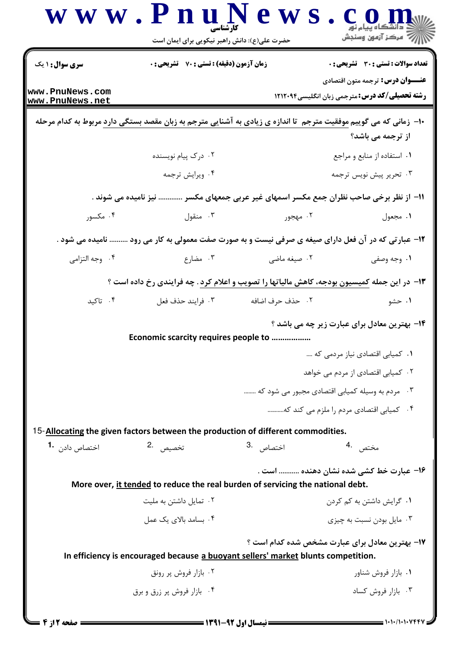|                                   | حضرت علی(ع): دانش راهبر نیکویی برای ایمان است                                     |                                    | سنجش آزمون وسنجش                                                                                                                               |  |
|-----------------------------------|-----------------------------------------------------------------------------------|------------------------------------|------------------------------------------------------------------------------------------------------------------------------------------------|--|
| <b>سری سوال : ۱ یک</b>            | زمان آزمون (دقیقه) : تستی : 70 گشریحی : 0                                         |                                    | <b>تعداد سوالات : تستی : 30 ٪ تشریحی : 0</b>                                                                                                   |  |
| www.PnuNews.com                   |                                                                                   |                                    | <b>عنـــوان درس:</b> ترجمه متون اقتصادی                                                                                                        |  |
| www.PnuNews.net                   |                                                                                   |                                    | <b>رشته تحصیلی/کد درس:</b> مترجمی زبان انگلیسی1۲۱۲۰۹۴                                                                                          |  |
|                                   |                                                                                   |                                    | ∙ا− زمانی که می گوییم <u>موفقیت متر</u> جم  تا اندازه ی زیادی به آشنایی مترجم به زبان مقصد بستگی دارد مربوط به کدام مرحله<br>از ترجمه می باشد؟ |  |
|                                   | ۰۲ درک پیام نویسنده                                                               |                                    | ٠١. استفاده از منابع و مراجع                                                                                                                   |  |
|                                   | ۰۴ ویرایش ترجمه                                                                   |                                    | ۰۳ تحریر پیش نویس ترجمه                                                                                                                        |  |
|                                   |                                                                                   |                                    | 11– از نظر برخی صاحب نظران جمع مکسر اسمهای غیر عربی جمعهای مکسر  نیز نامیده می شوند .                                                          |  |
| ۰۴ مکسور                          | ۰۳ منقول                                                                          | ۰۲ مهجور                           | ۰۱ مجعول                                                                                                                                       |  |
|                                   |                                                                                   |                                    | ۱۲- عبارتی که در آن فعل دارای صیغه ی صرفی نیست و به صورت صفت معمولی به کار می رود  نامیده می شود .                                             |  |
| ۰۴ وجه التزامي                    | ۰۳ مضارع                                                                          | ۰۲ صیغه ماضی                       | ۰۱ وجه وصفی                                                                                                                                    |  |
|                                   |                                                                                   |                                    | ۱۳- در این جمله کمیسیون بودجه، کاهش مالیاتها را تصویب و اعلام کرد . چه فرایندی رخ داده است ؟                                                   |  |
| ۰۴ تاکید                          | ۰۳ فرايند حذف فعل                                                                 | ٢. حذف حرف اضافه                   | ۰۱ حشو                                                                                                                                         |  |
|                                   |                                                                                   |                                    | ۱۴- بهترین معادل برای عبارت زیر چه می باشد ؟                                                                                                   |  |
|                                   | <b>Economic scarcity requires people to</b>                                       |                                    |                                                                                                                                                |  |
|                                   |                                                                                   | ٠١ كميابي اقتصادي نياز مردمي كه    |                                                                                                                                                |  |
|                                   |                                                                                   | ۰۲ کمپاہی اقتصادی از مردم می خواهد |                                                                                                                                                |  |
|                                   |                                                                                   |                                    | ۰۳ مردم به وسیله کمیابی اقتصادی مجبور می شود که                                                                                                |  |
|                                   |                                                                                   |                                    | ۰۴ کمپاہی اقتصادی مردم را ملزم می کند که                                                                                                       |  |
|                                   | 15-Allocating the given factors between the production of different commodities.  |                                    |                                                                                                                                                |  |
| اختصاص داد <sub>ن</sub> <b>-1</b> | تخصيص 2.                                                                          | اختصاص . <sup>3</sup>              | مختص 4                                                                                                                                         |  |
|                                   |                                                                                   |                                    | ۱۶– عبارت خط کشے شدہ نشان دھندہ  است .                                                                                                         |  |
|                                   | More over, it tended to reduce the real burden of servicing the national debt.    |                                    |                                                                                                                                                |  |
|                                   |                                                                                   |                                    | ۰۱ گرایش داشتن به کم کردن                                                                                                                      |  |
|                                   | ۰۲ تمایل داشتن به ملیت                                                            |                                    |                                                                                                                                                |  |
|                                   | ۰۴ بسامد بالای یک عمل                                                             |                                    | ۰۳ مایل بودن نسبت به چیزی                                                                                                                      |  |
|                                   |                                                                                   |                                    | ۱۷- بهترین معادل برای عبارت مشخص شده کدام است ؟                                                                                                |  |
|                                   | In efficiency is encouraged because a buoyant sellers' market blunts competition. |                                    |                                                                                                                                                |  |
|                                   | ۰۲ بازار فروش پر رونق<br>۰۴ بازار فروش پر زرق و برق                               |                                    | ۰۱ بازار فروش شناور<br>۰۳ بازار فروش کساد                                                                                                      |  |

**= نیمسال اول 92-1391 <del>=</del>** 

**= صفحه 2 از 4 =**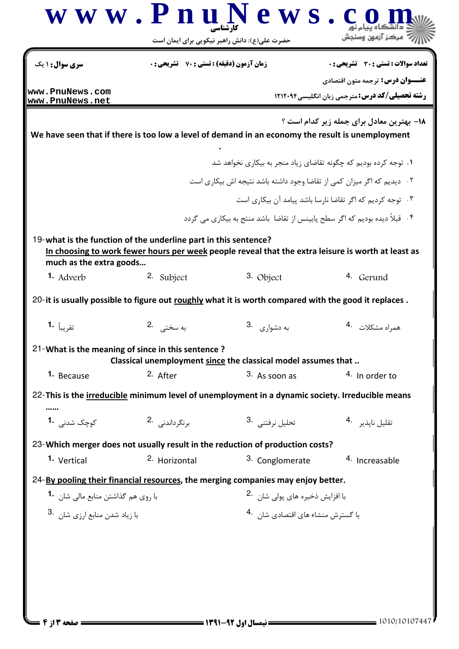| www.PnuNews.com<br><b>رشته تحصیلی/کد درس: مترجمی زبان انگلیسی4۲۱۲۰۹۴</b><br>www.PnuNews.net<br>18- بهترین معادل برای جمله زیر کدام است ؟<br>We have seen that if there is too low a level of demand in an economy the result is unemployment<br>۰۱ توجه کرده بودیم که چگونه تقاضای زیاد منجر به بیکاری نخواهد شد<br>۰۲ دیدیم که اگر میزان کمی از تقاضا وجود داشته باشد نتیجه اش بیکاری است<br>۰۳ توجه کردیم که اگر تقاضا نارسا باشد پیامد آن بیکاری است<br>۰۴ قبلاً دیده بودیم که اگر سطح پایینس از تقاضا  باشد منتج به بیکاری می گردد $^{\circ}$<br>19-what is the function of the underline part in this sentence?<br>In choosing to work fewer hours per week people reveal that the extra leisure is worth at least as<br>much as the extra goods<br>2. Subject<br>3. Object<br><b>1.</b> Adverb<br>4. Gerund<br>20- it is usually possible to figure out roughly what it is worth compared with the good it replaces.<br>به سختے2<br>به دشوا <sub>ری</sub> 3.<br>همراه مشكلات 4.<br>تقريباً 1.<br>21-What is the meaning of since in this sentence?<br>Classical unemployment since the classical model assumes that<br>1. Because<br>2. After<br>3. As soon as<br>4. In order to<br>22-This is the irreducible minimum level of unemployment in a dynamic society. Irreducible means<br>کوچک شدنی 1.<br>برنگرداندنی 2.<br>تحليل نرفتني 3.<br>تقليل ناپذير 4.<br>23-Which merger does not usually result in the reduction of production costs?<br><sup>2.</sup> Horizontal<br>1. Vertical<br>3. Conglomerate<br>4. Increasable<br>24-By pooling their financial resources, the merging companies may enjoy better.<br>با افزایش ذخیرہ های پولی شان   .2<br>با روى هم گذاشتن منابع مالى شان   1۰<br>با زياد شدن منابع ارزى شان <sup>3</sup> .<br>با گسترش منشاء های اقتصادی شان <sup>4</sup> ۰ | سری سوال: ۱ یک | <b>زمان آزمون (دقیقه) : تستی : 70 ٪ تشریحی : 0</b> | <b>تعداد سوالات : تستی : 30 ٪ تشریحی : 0</b> |
|----------------------------------------------------------------------------------------------------------------------------------------------------------------------------------------------------------------------------------------------------------------------------------------------------------------------------------------------------------------------------------------------------------------------------------------------------------------------------------------------------------------------------------------------------------------------------------------------------------------------------------------------------------------------------------------------------------------------------------------------------------------------------------------------------------------------------------------------------------------------------------------------------------------------------------------------------------------------------------------------------------------------------------------------------------------------------------------------------------------------------------------------------------------------------------------------------------------------------------------------------------------------------------------------------------------------------------------------------------------------------------------------------------------------------------------------------------------------------------------------------------------------------------------------------------------------------------------------------------------------------------------------------------------------------------------------------------------------------------------------------------------------------------------------------|----------------|----------------------------------------------------|----------------------------------------------|
|                                                                                                                                                                                                                                                                                                                                                                                                                                                                                                                                                                                                                                                                                                                                                                                                                                                                                                                                                                                                                                                                                                                                                                                                                                                                                                                                                                                                                                                                                                                                                                                                                                                                                                                                                                                                    |                |                                                    | <b>عنـــوان درس:</b> ترجمه متون اقتصادي      |
|                                                                                                                                                                                                                                                                                                                                                                                                                                                                                                                                                                                                                                                                                                                                                                                                                                                                                                                                                                                                                                                                                                                                                                                                                                                                                                                                                                                                                                                                                                                                                                                                                                                                                                                                                                                                    |                |                                                    |                                              |
|                                                                                                                                                                                                                                                                                                                                                                                                                                                                                                                                                                                                                                                                                                                                                                                                                                                                                                                                                                                                                                                                                                                                                                                                                                                                                                                                                                                                                                                                                                                                                                                                                                                                                                                                                                                                    |                |                                                    |                                              |
|                                                                                                                                                                                                                                                                                                                                                                                                                                                                                                                                                                                                                                                                                                                                                                                                                                                                                                                                                                                                                                                                                                                                                                                                                                                                                                                                                                                                                                                                                                                                                                                                                                                                                                                                                                                                    |                |                                                    |                                              |
|                                                                                                                                                                                                                                                                                                                                                                                                                                                                                                                                                                                                                                                                                                                                                                                                                                                                                                                                                                                                                                                                                                                                                                                                                                                                                                                                                                                                                                                                                                                                                                                                                                                                                                                                                                                                    |                |                                                    |                                              |
|                                                                                                                                                                                                                                                                                                                                                                                                                                                                                                                                                                                                                                                                                                                                                                                                                                                                                                                                                                                                                                                                                                                                                                                                                                                                                                                                                                                                                                                                                                                                                                                                                                                                                                                                                                                                    |                |                                                    |                                              |
|                                                                                                                                                                                                                                                                                                                                                                                                                                                                                                                                                                                                                                                                                                                                                                                                                                                                                                                                                                                                                                                                                                                                                                                                                                                                                                                                                                                                                                                                                                                                                                                                                                                                                                                                                                                                    |                |                                                    |                                              |
|                                                                                                                                                                                                                                                                                                                                                                                                                                                                                                                                                                                                                                                                                                                                                                                                                                                                                                                                                                                                                                                                                                                                                                                                                                                                                                                                                                                                                                                                                                                                                                                                                                                                                                                                                                                                    |                |                                                    |                                              |
|                                                                                                                                                                                                                                                                                                                                                                                                                                                                                                                                                                                                                                                                                                                                                                                                                                                                                                                                                                                                                                                                                                                                                                                                                                                                                                                                                                                                                                                                                                                                                                                                                                                                                                                                                                                                    |                |                                                    |                                              |
|                                                                                                                                                                                                                                                                                                                                                                                                                                                                                                                                                                                                                                                                                                                                                                                                                                                                                                                                                                                                                                                                                                                                                                                                                                                                                                                                                                                                                                                                                                                                                                                                                                                                                                                                                                                                    |                |                                                    |                                              |
|                                                                                                                                                                                                                                                                                                                                                                                                                                                                                                                                                                                                                                                                                                                                                                                                                                                                                                                                                                                                                                                                                                                                                                                                                                                                                                                                                                                                                                                                                                                                                                                                                                                                                                                                                                                                    |                |                                                    |                                              |
|                                                                                                                                                                                                                                                                                                                                                                                                                                                                                                                                                                                                                                                                                                                                                                                                                                                                                                                                                                                                                                                                                                                                                                                                                                                                                                                                                                                                                                                                                                                                                                                                                                                                                                                                                                                                    |                |                                                    |                                              |
|                                                                                                                                                                                                                                                                                                                                                                                                                                                                                                                                                                                                                                                                                                                                                                                                                                                                                                                                                                                                                                                                                                                                                                                                                                                                                                                                                                                                                                                                                                                                                                                                                                                                                                                                                                                                    |                |                                                    |                                              |
|                                                                                                                                                                                                                                                                                                                                                                                                                                                                                                                                                                                                                                                                                                                                                                                                                                                                                                                                                                                                                                                                                                                                                                                                                                                                                                                                                                                                                                                                                                                                                                                                                                                                                                                                                                                                    |                |                                                    |                                              |
|                                                                                                                                                                                                                                                                                                                                                                                                                                                                                                                                                                                                                                                                                                                                                                                                                                                                                                                                                                                                                                                                                                                                                                                                                                                                                                                                                                                                                                                                                                                                                                                                                                                                                                                                                                                                    |                |                                                    |                                              |
|                                                                                                                                                                                                                                                                                                                                                                                                                                                                                                                                                                                                                                                                                                                                                                                                                                                                                                                                                                                                                                                                                                                                                                                                                                                                                                                                                                                                                                                                                                                                                                                                                                                                                                                                                                                                    |                |                                                    |                                              |
|                                                                                                                                                                                                                                                                                                                                                                                                                                                                                                                                                                                                                                                                                                                                                                                                                                                                                                                                                                                                                                                                                                                                                                                                                                                                                                                                                                                                                                                                                                                                                                                                                                                                                                                                                                                                    |                |                                                    |                                              |
|                                                                                                                                                                                                                                                                                                                                                                                                                                                                                                                                                                                                                                                                                                                                                                                                                                                                                                                                                                                                                                                                                                                                                                                                                                                                                                                                                                                                                                                                                                                                                                                                                                                                                                                                                                                                    |                |                                                    |                                              |
|                                                                                                                                                                                                                                                                                                                                                                                                                                                                                                                                                                                                                                                                                                                                                                                                                                                                                                                                                                                                                                                                                                                                                                                                                                                                                                                                                                                                                                                                                                                                                                                                                                                                                                                                                                                                    |                |                                                    |                                              |
|                                                                                                                                                                                                                                                                                                                                                                                                                                                                                                                                                                                                                                                                                                                                                                                                                                                                                                                                                                                                                                                                                                                                                                                                                                                                                                                                                                                                                                                                                                                                                                                                                                                                                                                                                                                                    |                |                                                    |                                              |
|                                                                                                                                                                                                                                                                                                                                                                                                                                                                                                                                                                                                                                                                                                                                                                                                                                                                                                                                                                                                                                                                                                                                                                                                                                                                                                                                                                                                                                                                                                                                                                                                                                                                                                                                                                                                    |                |                                                    |                                              |
|                                                                                                                                                                                                                                                                                                                                                                                                                                                                                                                                                                                                                                                                                                                                                                                                                                                                                                                                                                                                                                                                                                                                                                                                                                                                                                                                                                                                                                                                                                                                                                                                                                                                                                                                                                                                    |                |                                                    |                                              |